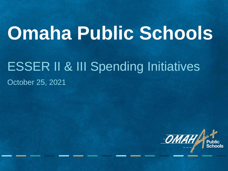# **Omaha Public Schools**

# ESSER II & III Spending Initiatives

#### October 25, 2021

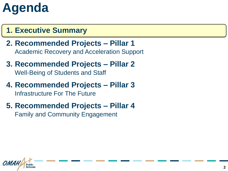#### **1. Executive Summary**

- **2. Recommended Projects – Pillar 1** Academic Recovery and Acceleration Support
- **3. Recommended Projects – Pillar 2** Well-Being of Students and Staff
- **4. Recommended Projects – Pillar 3** Infrastructure For The Future
- **5. Recommended Projects – Pillar 4** Family and Community Engagement

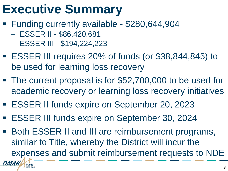# **Executive Summary**

- Funding currently available \$280,644,904
	- ESSER II \$86,420,681
	- ESSER III \$194,224,223
- ESSER III requires 20% of funds (or \$38,844,845) to be used for learning loss recovery
- The current proposal is for \$52,700,000 to be used for academic recovery or learning loss recovery initiatives
- ESSER II funds expire on September 20, 2023
- ESSER III funds expire on September 30, 2024
- Both ESSER II and III are reimbursement programs, similar to Title, whereby the District will incur the expenses and submit reimbursement requests to NDE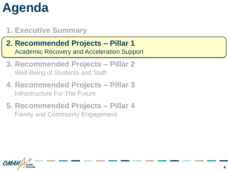#### **1. Executive Summary**

- **2. Recommended Projects – Pillar 1** Academic Recovery and Acceleration Support
- **3. Recommended Projects – Pillar 2** Well-Being of Students and Staff
- **4. Recommended Projects – Pillar 3** Infrastructure For The Future
- **5. Recommended Projects – Pillar 4** Family and Community Engagement

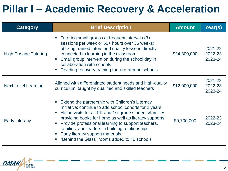### **Pillar I – Academic Recovery & Acceleration**

| <b>Category</b>             | <b>Brief Description</b>                                                                                                                                                                                                                                                                                                                                                                                                  | <b>Amount</b> | Year(s)                       |
|-----------------------------|---------------------------------------------------------------------------------------------------------------------------------------------------------------------------------------------------------------------------------------------------------------------------------------------------------------------------------------------------------------------------------------------------------------------------|---------------|-------------------------------|
| <b>High Dosage Tutoring</b> | Tutoring small groups at frequent intervals (3+<br>sessions per week or 50+ hours over 36 weeks)<br>utilizing trained tutors and quality lessons directly<br>connected to learning in the classroom<br>Small group intervention during the school day in<br>collaboration with schools<br>Reading recovery training for turn-around schools                                                                               | \$24,300,000  | 2021-22<br>2022-23<br>2023-24 |
| <b>Next Level Learning</b>  | Aligned with differentiated student needs and high-quality<br>curriculum, taught by qualified and skilled teachers                                                                                                                                                                                                                                                                                                        | \$12,000,000  | 2021-22<br>2022-23<br>2023-24 |
| <b>Early Literacy</b>       | Extend the partnership with Children's Literacy<br>Initiative; continue to add school cohorts for 2 years<br>Home visits for all PK and 1st grade students/families<br>providing books for home as well as literacy supports<br>Provide professional learning to support teachers,<br>families, and leaders in building relationships<br>Early literacy support materials<br>"Behind the Glass" rooms added to 16 schools | \$9,700,000   | 2022-23<br>2023-24            |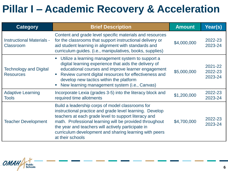### **Pillar I – Academic Recovery & Acceleration**

| Category                                      | <b>Brief Description</b>                                                                                                                                                                                                                                                                                                                                            | <b>Amount</b> | Year(s)                       |
|-----------------------------------------------|---------------------------------------------------------------------------------------------------------------------------------------------------------------------------------------------------------------------------------------------------------------------------------------------------------------------------------------------------------------------|---------------|-------------------------------|
| <b>Instructional Materials -</b><br>Classroom | Content and grade level specific materials and resources<br>for the classrooms that support instructional delivery or<br>aid student learning in alignment with standards and<br>curriculum guides. (i.e., manipulatives, books, supplies)                                                                                                                          | \$4,000,000   | 2022-23<br>2023-24            |
| Technology and Digital<br><b>Resources</b>    | Utilize a learning management system to support a<br>digital learning experience that aids the delivery of<br>educational courses and improve learner engagement<br>Review current digital resources for effectiveness and<br>develop new tactics within the platform<br>New learning management system (i.e., Canvas)                                              | \$5,000,000   | 2021-22<br>2022-23<br>2023-24 |
| <b>Adaptive Learning</b><br><b>Tools</b>      | Incorporate Lexia (grades 3-5) into the literacy block and<br>required time allotments                                                                                                                                                                                                                                                                              | \$1,200,000   | 2022-23<br>2023-24            |
| <b>Teacher Development</b>                    | Build a leadership corps of model classrooms for<br>instructional practice and grade level learning. Develop<br>teachers at each grade level to support literacy and<br>math. Professional learning will be provided throughout<br>the year and teachers will actively participate in<br>curriculum development and sharing learning with peers<br>at their schools | \$4,700,000   | 2022-23<br>2023-24            |

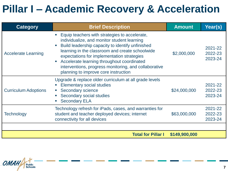#### **Pillar I – Academic Recovery & Acceleration**

| <b>Category</b>             | <b>Brief Description</b>                                                                                                                                                                                                                                                                                                                                                                         | <b>Amount</b> | Year(s)                       |
|-----------------------------|--------------------------------------------------------------------------------------------------------------------------------------------------------------------------------------------------------------------------------------------------------------------------------------------------------------------------------------------------------------------------------------------------|---------------|-------------------------------|
| <b>Accelerate Learning</b>  | Equip teachers with strategies to accelerate,<br>individualize, and monitor student learning<br>Build leadership capacity to identify unfinished<br>learning in the classroom and create schoolwide<br>expectations for implementation strategies<br>Accelerate learning throughout coordinated<br>interventions, progress monitoring, and collaborative<br>planning to improve core instruction | \$2,000,000   | 2021-22<br>2022-23<br>2023-24 |
| <b>Curriculum Adoptions</b> | Upgrade & replace older curriculum at all grade levels<br><b>Elementary social studies</b><br>Secondary science<br>Secondary social studies<br><b>Secondary ELA</b>                                                                                                                                                                                                                              | \$24,000,000  | 2021-22<br>2022-23<br>2023-24 |
| <b>Technology</b>           | Technology refresh for iPads, cases, and warranties for<br>student and teacher deployed devices; internet<br>connectivity for all devices                                                                                                                                                                                                                                                        | \$63,000,000  | 2021-22<br>2022-23<br>2023-24 |
|                             | <b>Total for Pillar I</b>                                                                                                                                                                                                                                                                                                                                                                        | \$149,900,000 |                               |

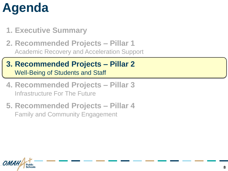- **1. Executive Summary**
- **2. Recommended Projects – Pillar 1** Academic Recovery and Acceleration Support
- **3. Recommended Projects – Pillar 2** Well-Being of Students and Staff
- **4. Recommended Projects – Pillar 3** Infrastructure For The Future
- **5. Recommended Projects – Pillar 4** Family and Community Engagement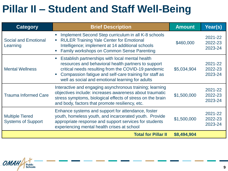### **Pillar II – Student and Staff Well-Being**

| <b>Category</b>                                     | <b>Brief Description</b>                                                                                                                                                                                                                                                    | <b>Amount</b> | Year(s)                       |
|-----------------------------------------------------|-----------------------------------------------------------------------------------------------------------------------------------------------------------------------------------------------------------------------------------------------------------------------------|---------------|-------------------------------|
| <b>Social and Emotional</b><br>Learning             | Implement Second Step curriculum in all K-8 schools<br><b>RULER Training Yale Center for Emotional</b><br>$\blacksquare$<br>Intelligence; implement at 14 additional schools<br><b>Family workshops on Common Sense Parenting</b>                                           | \$460,000     | 2021-22<br>2022-23<br>2023-24 |
| <b>Mental Wellness</b>                              | Establish partnerships with local mental health<br>resources and behavioral health partners to support<br>critical needs resulting from the COVID-19 pandemic<br>Compassion fatigue and self-care training for staff as<br>well as social and emotional learning for adults | \$5,034,904   | 2021-22<br>2022-23<br>2023-24 |
| <b>Trauma Informed Care</b>                         | Interactive and engaging asynchronous training; learning<br>objectives include: increases awareness about traumatic<br>stress symptoms, biological effects of stress on the brain<br>and body, factors that promote resiliency, etc.                                        | \$1,500,000   | 2021-22<br>2022-23<br>2023-24 |
| <b>Multiple Tiered</b><br><b>Systems of Support</b> | Enhance systems and support for attendance, foster<br>youth, homeless youth, and incarcerated youth. Provide<br>appropriate response and support services for students<br>experiencing mental health crises at school                                                       | \$1,500,000   | 2021-22<br>2022-23<br>2023-24 |
|                                                     | <b>Total for Pillar II</b>                                                                                                                                                                                                                                                  | \$8,494,904   |                               |

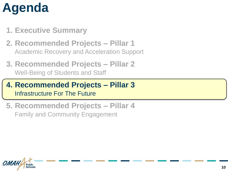- **1. Executive Summary**
- **2. Recommended Projects – Pillar 1** Academic Recovery and Acceleration Support
- **3. Recommended Projects – Pillar 2** Well-Being of Students and Staff
- **4. Recommended Projects – Pillar 3** Infrastructure For The Future
- **5. Recommended Projects – Pillar 4** Family and Community Engagement

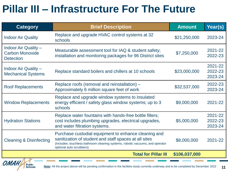### **Pillar III – Infrastructure For The Future**

| <b>Category</b>                                                           | <b>Brief Description</b>                                                                                                                                                                                                   | <b>Amount</b> | Year(s)                       |
|---------------------------------------------------------------------------|----------------------------------------------------------------------------------------------------------------------------------------------------------------------------------------------------------------------------|---------------|-------------------------------|
| <b>Indoor Air Quality</b>                                                 | Replace and upgrade HVAC control systems at 32<br>schools                                                                                                                                                                  | \$21,250,000  | 2023-24                       |
| <b>Indoor Air Quality -</b><br><b>Carbon Monoxide</b><br><b>Detection</b> | Measurable assessment tool for IAQ & student safety;<br>installation and monitoring packages for 96 District sites                                                                                                         | \$7,250,000   | 2021-22<br>2022-23            |
| Indoor Air Quality -<br><b>Mechanical Systems</b>                         | Replace standard boilers and chillers at 10 schools                                                                                                                                                                        | \$23,000,000  | 2021-22<br>2022-23<br>2023-24 |
| <b>Roof Replacements</b>                                                  | Replace roofs (removal and reinstallation) -<br>Approximately 6 million square feet of work                                                                                                                                | \$32,537,000  | 2022-23<br>2023-24            |
| <b>Window Replacements</b>                                                | Replace and upgrade window systems to insulated<br>energy efficient / safety glass window systems; up to 3<br>schools                                                                                                      | \$9,000,000   | 2021-22                       |
| <b>Hydration Stations</b>                                                 | Replace water fountains with hands-free bottle fillers;<br>cost includes plumbing upgrades, electrical upgrades,<br>and water filtration systems.                                                                          | \$5,000,000   | 2021-22<br>2022-23<br>2023-24 |
| <b>Cleaning &amp; Disinfecting</b>                                        | Purchase custodial equipment to enhance cleaning and<br>sanitization of student and staff spaces at all sites<br>(Includes: touchless bathroom cleaning systems, robotic vacuums, and operator<br>optional auto scrubbers) | \$8,000,000   | 2021-22                       |
|                                                                           | <b>Total for Pillar III</b>                                                                                                                                                                                                | \$106,037,000 |                               |
| OMAH<br><b>Dublin</b>                                                     |                                                                                                                                                                                                                            |               |                               |

**Schools**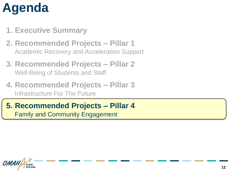- **1. Executive Summary**
- **2. Recommended Projects – Pillar 1** Academic Recovery and Acceleration Support
- **3. Recommended Projects – Pillar 2** Well-Being of Students and Staff
- **4. Recommended Projects – Pillar 3** Infrastructure For The Future
- **5. Recommended Projects – Pillar 4** Family and Community Engagement